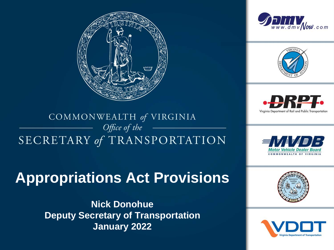





Virginia Department of Rail and Public Transportation

### COMMONWEALTH of VIRGINIA Office of the SECRETARY of TRANSPORTATION

### **Appropriations Act Provisions**

**Nick Donohue Deputy Secretary of Transportation January 2022**





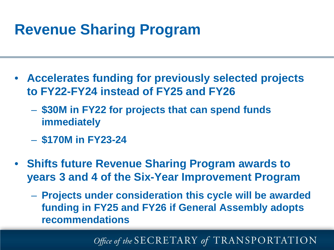# **Revenue Sharing Program**

- **Accelerates funding for previously selected projects to FY22-FY24 instead of FY25 and FY26**
	- **\$30M in FY22 for projects that can spend funds immediately**
	- **\$170M in FY23-24**
- **Shifts future Revenue Sharing Program awards to years 3 and 4 of the Six-Year Improvement Program**
	- **Projects under consideration this cycle will be awarded funding in FY25 and FY26 if General Assembly adopts recommendations**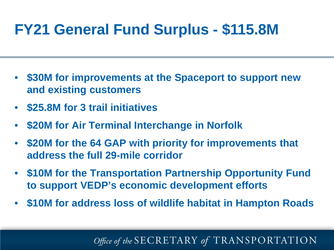# $FY21$  General Fund Surplus - \$115.8M

- **\$30M for improvements at the Spaceport to support new and existing customers**
- **\$25.8M for 3 trail initiatives**
- **\$20M for Air Terminal Interchange in Norfolk**
- **\$20M for the 64 GAP with priority for improvements that address the full 29-mile corridor**
- **\$10M for the Transportation Partnership Opportunity Fund to support VEDP's economic development efforts**
- **\$10M for address loss of wildlife habitat in Hampton Roads**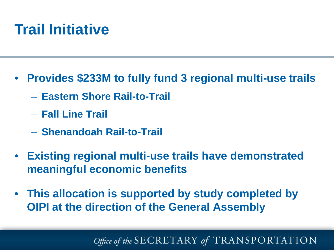### **THANK YOU WANTED Trail Initiative**

- **Provides \$233M to fully fund 3 regional multi-use trails** 
	- **Eastern Shore Rail-to-Trail**
	- **Fall Line Trail**
	- **Shenandoah Rail-to-Trail**
- **Existing regional multi-use trails have demonstrated meaningful economic benefits**
- **This allocation is supported by study completed by OIPI at the direction of the General Assembly**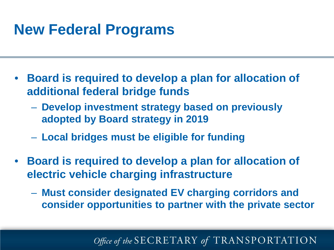# **New Federal Programs**

- **Board is required to develop a plan for allocation of additional federal bridge funds**
	- **Develop investment strategy based on previously adopted by Board strategy in 2019**
	- **Local bridges must be eligible for funding**
- **Board is required to develop a plan for allocation of electric vehicle charging infrastructure** 
	- **Must consider designated EV charging corridors and consider opportunities to partner with the private sector**